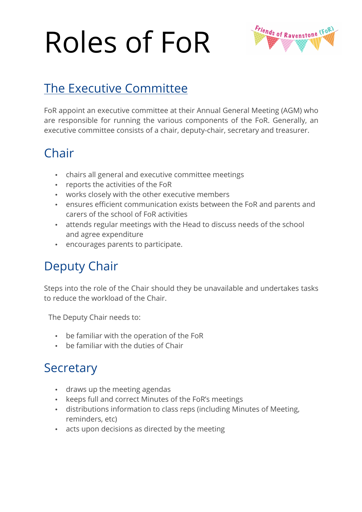# Roles of FoR



## The Executive Committee

FoR appoint an executive committee at their Annual General Meeting (AGM) who are responsible for running the various components of the FoR. Generally, an executive committee consists of a chair, deputy-chair, secretary and treasurer.

#### **Chair**

- chairs all general and executive committee meetings
- reports the activities of the FoR
- works closely with the other executive members
- ensures efficient communication exists between the FoR and parents and carers of the school of FoR activities
- attends regular meetings with the Head to discuss needs of the school and agree expenditure
- encourages parents to participate.

### Deputy Chair

Steps into the role of the Chair should they be unavailable and undertakes tasks to reduce the workload of the Chair.

The Deputy Chair needs to:

- be familiar with the operation of the FoR
- be familiar with the duties of Chair

#### **Secretary**

- draws up the meeting agendas
- keeps full and correct Minutes of the FoR's meetings
- distributions information to class reps (including Minutes of Meeting, reminders, etc)
- acts upon decisions as directed by the meeting